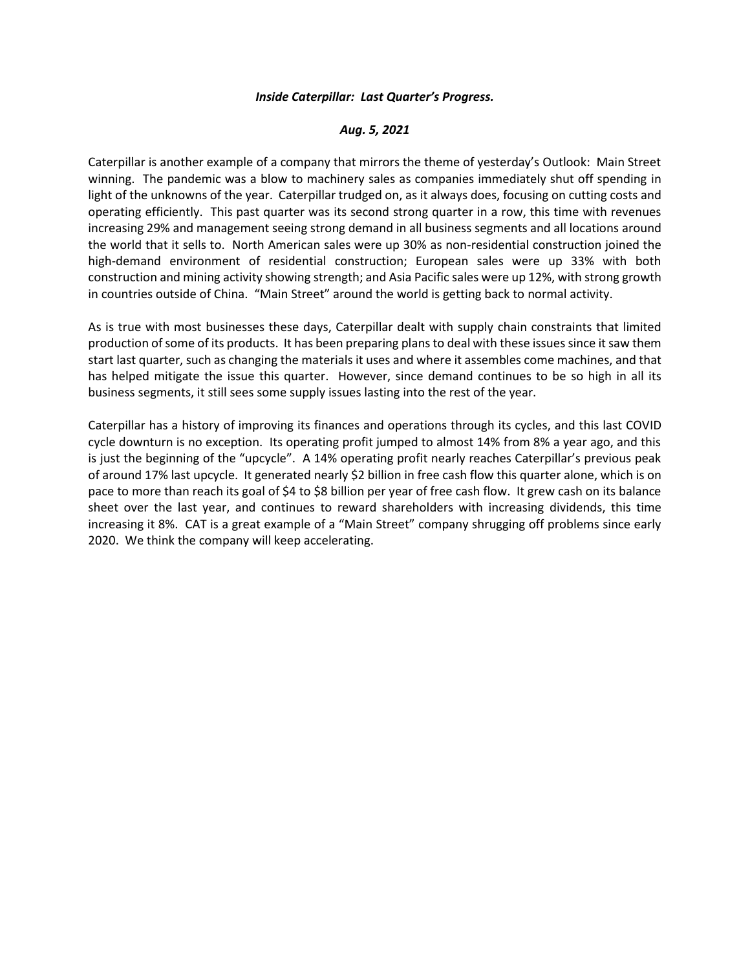## *Inside Caterpillar: Last Quarter's Progress.*

## *Aug. 5, 2021*

Caterpillar is another example of a company that mirrors the theme of yesterday's Outlook: Main Street winning. The pandemic was a blow to machinery sales as companies immediately shut off spending in light of the unknowns of the year. Caterpillar trudged on, as it always does, focusing on cutting costs and operating efficiently. This past quarter was its second strong quarter in a row, this time with revenues increasing 29% and management seeing strong demand in all business segments and all locations around the world that it sells to. North American sales were up 30% as non-residential construction joined the high-demand environment of residential construction; European sales were up 33% with both construction and mining activity showing strength; and Asia Pacific sales were up 12%, with strong growth in countries outside of China. "Main Street" around the world is getting back to normal activity.

As is true with most businesses these days, Caterpillar dealt with supply chain constraints that limited production of some of its products. It has been preparing plans to deal with these issues since it saw them start last quarter, such as changing the materials it uses and where it assembles come machines, and that has helped mitigate the issue this quarter. However, since demand continues to be so high in all its business segments, it still sees some supply issues lasting into the rest of the year.

Caterpillar has a history of improving its finances and operations through its cycles, and this last COVID cycle downturn is no exception. Its operating profit jumped to almost 14% from 8% a year ago, and this is just the beginning of the "upcycle". A 14% operating profit nearly reaches Caterpillar's previous peak of around 17% last upcycle. It generated nearly \$2 billion in free cash flow this quarter alone, which is on pace to more than reach its goal of \$4 to \$8 billion per year of free cash flow. It grew cash on its balance sheet over the last year, and continues to reward shareholders with increasing dividends, this time increasing it 8%. CAT is a great example of a "Main Street" company shrugging off problems since early 2020. We think the company will keep accelerating.